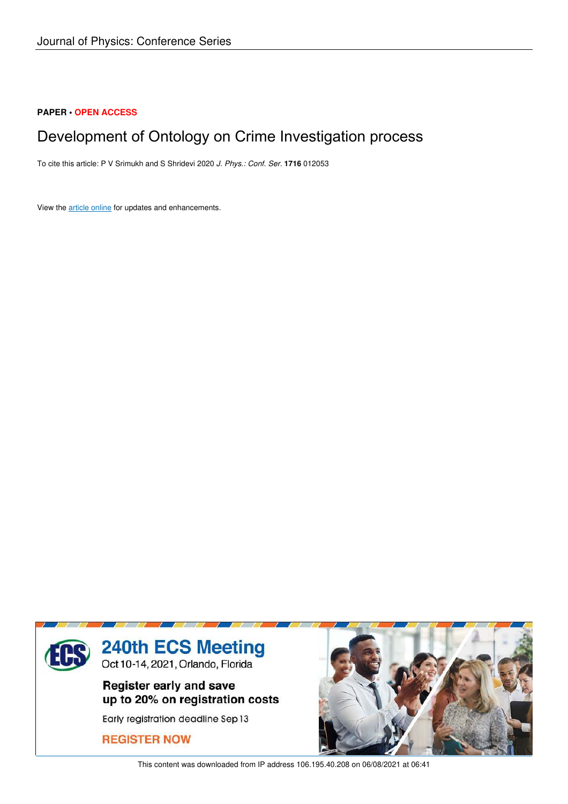## **PAPER • OPEN ACCESS**

# Development of Ontology on Crime Investigation process

To cite this article: P V Srimukh and S Shridevi 2020 *J. Phys.: Conf. Ser.* **1716** 012053

View the article online for updates and enhancements.



This content was downloaded from IP address 106.195.40.208 on 06/08/2021 at 06:41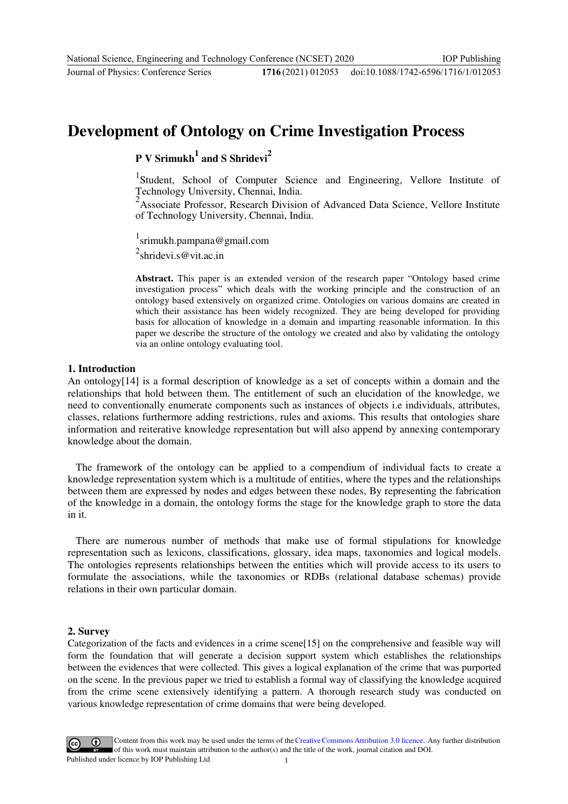Journal of Physics: Conference Series **1716** (2021) 012053

doi:10.1088/1742-6596/1716/1/012053

## **Development of Ontology on Crime Investigation Process**

**P V Srimukh<sup>1</sup> and S Shridevi<sup>2</sup>**

<sup>1</sup>Student, School of Computer Science and Engineering, Vellore Institute of Technology University, Chennai, India.

<sup>2</sup> Associate Professor, Research Division of Advanced Data Science, Vellore Institute of Technology University, Chennai, India.

1 srimukh.pampana@gmail.com

 $2$ shridevi.s@vit.ac.in

**Abstract.** This paper is an extended version of the research paper "Ontology based crime investigation process" which deals with the working principle and the construction of an ontology based extensively on organized crime. Ontologies on various domains are created in which their assistance has been widely recognized. They are being developed for providing basis for allocation of knowledge in a domain and imparting reasonable information. In this paper we describe the structure of the ontology we created and also by validating the ontology via an online ontology evaluating tool.

### **1. Introduction**

An ontology[14] is a formal description of knowledge as a set of concepts within a domain and the relationships that hold between them. The entitlement of such an elucidation of the knowledge, we need to conventionally enumerate components such as instances of objects i.e individuals, attributes, classes, relations furthermore adding restrictions, rules and axioms. This results that ontologies share information and reiterative knowledge representation but will also append by annexing contemporary knowledge about the domain.

The framework of the ontology can be applied to a compendium of individual facts to create a knowledge representation system which is a multitude of entities, where the types and the relationships between them are expressed by nodes and edges between these nodes, By representing the fabrication of the knowledge in a domain, the ontology forms the stage for the knowledge graph to store the data in it.

There are numerous number of methods that make use of formal stipulations for knowledge representation such as lexicons, classifications, glossary, idea maps, taxonomies and logical models. The ontologies represents relationships between the entities which will provide access to its users to formulate the associations, while the taxonomies or RDBs (relational database schemas) provide relations in their own particular domain.

### **2. Survey**

Categorization of the facts and evidences in a crime scene[15] on the comprehensive and feasible way will form the foundation that will generate a decision support system which establishes the relationships between the evidences that were collected. This gives a logical explanation of the crime that was purported on the scene. In the previous paper we tried to establish a formal way of classifying the knowledge acquired from the crime scene extensively identifying a pattern. A thorough research study was conducted on various knowledge representation of crime domains that were being developed.

Content from this work may be used under the terms of theCreative Commons Attribution 3.0 licence. Any further distribution of this work must maintain attribution to the author(s) and the title of the work, journal citation and DOI. Published under licence by IOP Publishing Ltd 1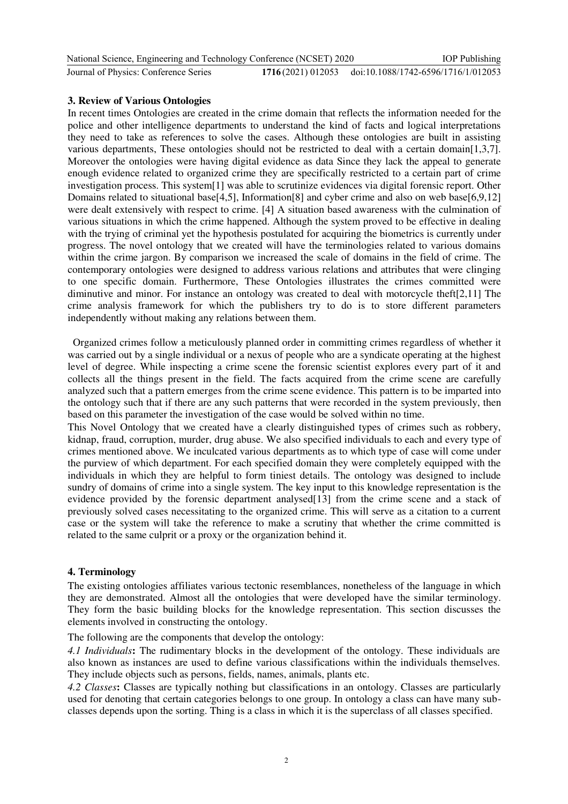| National Science, Engineering and Technology Conference (NCSET) 2020 |                                                       | <b>IOP</b> Publishing |
|----------------------------------------------------------------------|-------------------------------------------------------|-----------------------|
| Journal of Physics: Conference Series                                | 1716(2021) 012053 doi:10.1088/1742-6596/1716/1/012053 |                       |

## **3. Review of Various Ontologies**

In recent times Ontologies are created in the crime domain that reflects the information needed for the police and other intelligence departments to understand the kind of facts and logical interpretations they need to take as references to solve the cases. Although these ontologies are built in assisting various departments, These ontologies should not be restricted to deal with a certain domain[1,3,7]. Moreover the ontologies were having digital evidence as data Since they lack the appeal to generate enough evidence related to organized crime they are specifically restricted to a certain part of crime investigation process. This system[1] was able to scrutinize evidences via digital forensic report. Other Domains related to situational base[4,5], Information[8] and cyber crime and also on web base[6,9,12] were dealt extensively with respect to crime. [4] A situation based awareness with the culmination of various situations in which the crime happened. Although the system proved to be effective in dealing with the trying of criminal yet the hypothesis postulated for acquiring the biometrics is currently under progress. The novel ontology that we created will have the terminologies related to various domains within the crime jargon. By comparison we increased the scale of domains in the field of crime. The contemporary ontologies were designed to address various relations and attributes that were clinging to one specific domain. Furthermore, These Ontologies illustrates the crimes committed were diminutive and minor. For instance an ontology was created to deal with motorcycle theft[2,11] The crime analysis framework for which the publishers try to do is to store different parameters independently without making any relations between them.

Organized crimes follow a meticulously planned order in committing crimes regardless of whether it was carried out by a single individual or a nexus of people who are a syndicate operating at the highest level of degree. While inspecting a crime scene the forensic scientist explores every part of it and collects all the things present in the field. The facts acquired from the crime scene are carefully analyzed such that a pattern emerges from the crime scene evidence. This pattern is to be imparted into the ontology such that if there are any such patterns that were recorded in the system previously, then based on this parameter the investigation of the case would be solved within no time.

This Novel Ontology that we created have a clearly distinguished types of crimes such as robbery, kidnap, fraud, corruption, murder, drug abuse. We also specified individuals to each and every type of crimes mentioned above. We inculcated various departments as to which type of case will come under the purview of which department. For each specified domain they were completely equipped with the individuals in which they are helpful to form tiniest details. The ontology was designed to include sundry of domains of crime into a single system. The key input to this knowledge representation is the evidence provided by the forensic department analysed[13] from the crime scene and a stack of previously solved cases necessitating to the organized crime. This will serve as a citation to a current case or the system will take the reference to make a scrutiny that whether the crime committed is related to the same culprit or a proxy or the organization behind it.

## **4. Terminology**

The existing ontologies affiliates various tectonic resemblances, nonetheless of the language in which they are demonstrated. Almost all the ontologies that were developed have the similar terminology. They form the basic building blocks for the knowledge representation. This section discusses the elements involved in constructing the ontology.

The following are the components that develop the ontology:

*4.1 Individuals***:** The rudimentary blocks in the development of the ontology. These individuals are also known as instances are used to define various classifications within the individuals themselves. They include objects such as persons, fields, names, animals, plants etc.

*4.2 Classes***:** Classes are typically nothing but classifications in an ontology. Classes are particularly used for denoting that certain categories belongs to one group. In ontology a class can have many subclasses depends upon the sorting. Thing is a class in which it is the superclass of all classes specified.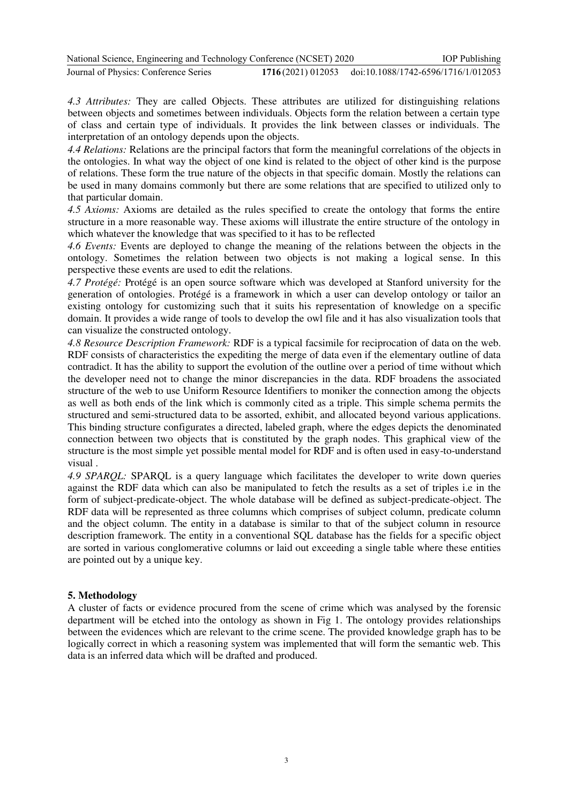| National Science, Engineering and Technology Conference (NCSET) 2020 | <b>IOP</b> Publishing                                 |
|----------------------------------------------------------------------|-------------------------------------------------------|
| Journal of Physics: Conference Series                                | 1716(2021) 012053 doi:10.1088/1742-6596/1716/1/012053 |

*4.3 Attributes:* They are called Objects. These attributes are utilized for distinguishing relations between objects and sometimes between individuals. Objects form the relation between a certain type of class and certain type of individuals. It provides the link between classes or individuals. The interpretation of an ontology depends upon the objects.

*4.4 Relations:* Relations are the principal factors that form the meaningful correlations of the objects in the ontologies. In what way the object of one kind is related to the object of other kind is the purpose of relations. These form the true nature of the objects in that specific domain. Mostly the relations can be used in many domains commonly but there are some relations that are specified to utilized only to that particular domain.

*4.5 Axioms:* Axioms are detailed as the rules specified to create the ontology that forms the entire structure in a more reasonable way. These axioms will illustrate the entire structure of the ontology in which whatever the knowledge that was specified to it has to be reflected

*4.6 Events:* Events are deployed to change the meaning of the relations between the objects in the ontology. Sometimes the relation between two objects is not making a logical sense. In this perspective these events are used to edit the relations.

*4.7 Protégé:* Protégé is an open source software which was developed at Stanford university for the generation of ontologies. Protégé is a framework in which a user can develop ontology or tailor an existing ontology for customizing such that it suits his representation of knowledge on a specific domain. It provides a wide range of tools to develop the owl file and it has also visualization tools that can visualize the constructed ontology.

*4.8 Resource Description Framework:* RDF is a typical facsimile for reciprocation of data on the web. RDF consists of characteristics the expediting the merge of data even if the elementary outline of data contradict. It has the ability to support the evolution of the outline over a period of time without which the developer need not to change the minor discrepancies in the data. RDF broadens the associated structure of the web to use Uniform Resource Identifiers to moniker the connection among the objects as well as both ends of the link which is commonly cited as a triple. This simple schema permits the structured and semi-structured data to be assorted, exhibit, and allocated beyond various applications. This binding structure configurates a directed, labeled graph, where the edges depicts the denominated connection between two objects that is constituted by the graph nodes. This graphical view of the structure is the most simple yet possible mental model for RDF and is often used in easy-to-understand visual .

*4.9 SPARQL:* SPARQL is a query language which facilitates the developer to write down queries against the RDF data which can also be manipulated to fetch the results as a set of triples i.e in the form of subject-predicate-object. The whole database will be defined as subject-predicate-object. The RDF data will be represented as three columns which comprises of subject column, predicate column and the object column. The entity in a database is similar to that of the subject column in resource description framework. The entity in a conventional SQL database has the fields for a specific object are sorted in various conglomerative columns or laid out exceeding a single table where these entities are pointed out by a unique key.

## **5. Methodology**

A cluster of facts or evidence procured from the scene of crime which was analysed by the forensic department will be etched into the ontology as shown in Fig 1. The ontology provides relationships between the evidences which are relevant to the crime scene. The provided knowledge graph has to be logically correct in which a reasoning system was implemented that will form the semantic web. This data is an inferred data which will be drafted and produced.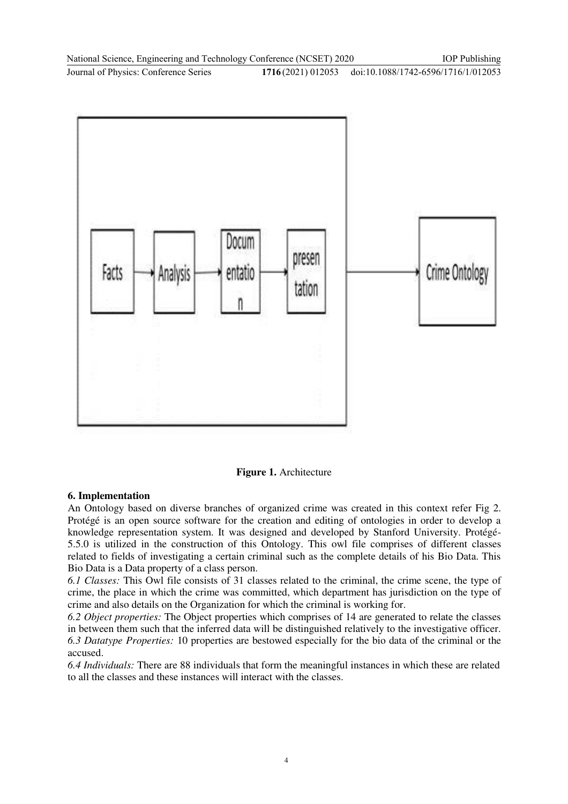

**Figure 1.** Architecture

## **6. Implementation**

An Ontology based on diverse branches of organized crime was created in this context refer Fig 2. Protégé is an open source software for the creation and editing of ontologies in order to develop a knowledge representation system. It was designed and developed by Stanford University. Protégé-5.5.0 is utilized in the construction of this Ontology. This owl file comprises of different classes related to fields of investigating a certain criminal such as the complete details of his Bio Data. This Bio Data is a Data property of a class person.

*6.1 Classes:* This Owl file consists of 31 classes related to the criminal, the crime scene, the type of crime, the place in which the crime was committed, which department has jurisdiction on the type of crime and also details on the Organization for which the criminal is working for.

*6.2 Object properties:* The Object properties which comprises of 14 are generated to relate the classes in between them such that the inferred data will be distinguished relatively to the investigative officer. *6.3 Datatype Properties:* 10 properties are bestowed especially for the bio data of the criminal or the accused.

*6.4 Individuals:* There are 88 individuals that form the meaningful instances in which these are related to all the classes and these instances will interact with the classes.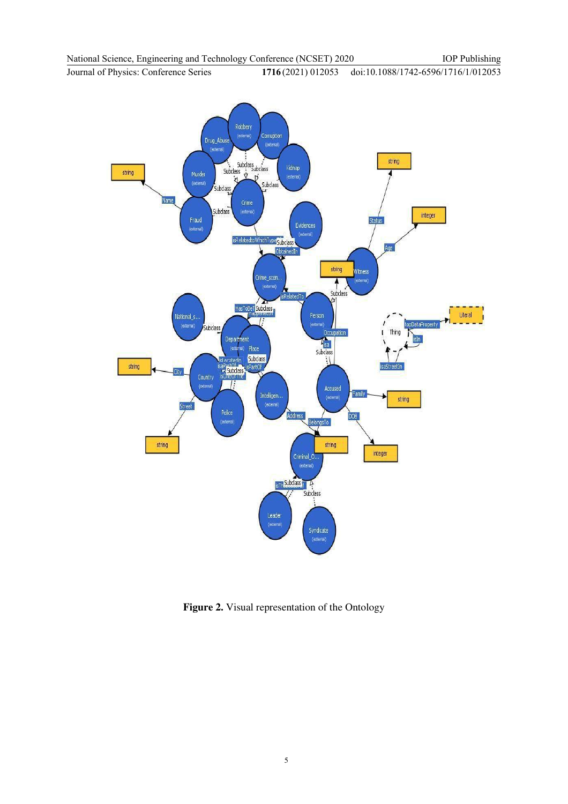Journal of Physics: Conference Series **1716** (2021) 012053 doi:10.1088/1742-6596/1716/1/012053



**Figure 2.** Visual representation of the Ontology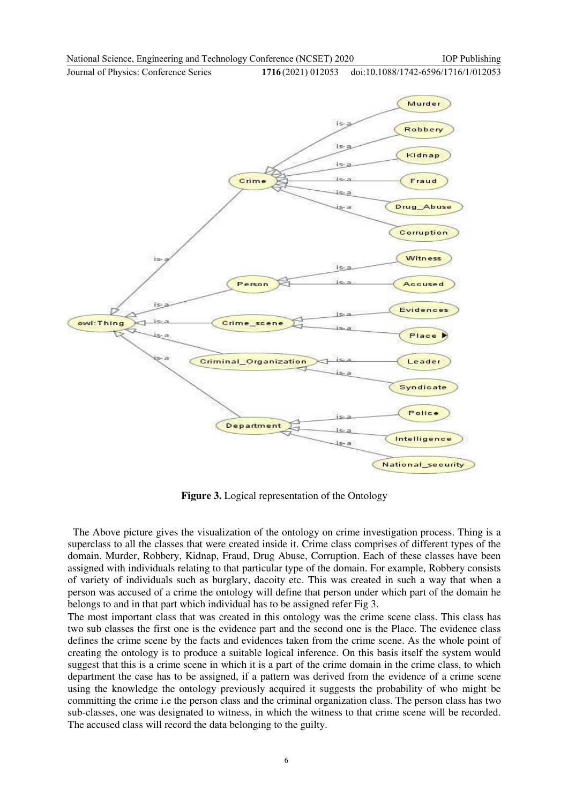Journal of Physics: Conference Series **1716** (2021) 012053 doi:10.1088/1742-6596/1716/1/012053



**Figure 3.** Logical representation of the Ontology

The Above picture gives the visualization of the ontology on crime investigation process. Thing is a superclass to all the classes that were created inside it. Crime class comprises of different types of the domain. Murder, Robbery, Kidnap, Fraud, Drug Abuse, Corruption. Each of these classes have been assigned with individuals relating to that particular type of the domain. For example, Robbery consists of variety of individuals such as burglary, dacoity etc. This was created in such a way that when a person was accused of a crime the ontology will define that person under which part of the domain he belongs to and in that part which individual has to be assigned refer Fig 3.

The most important class that was created in this ontology was the crime scene class. This class has two sub classes the first one is the evidence part and the second one is the Place. The evidence class defines the crime scene by the facts and evidences taken from the crime scene. As the whole point of creating the ontology is to produce a suitable logical inference. On this basis itself the system would suggest that this is a crime scene in which it is a part of the crime domain in the crime class, to which department the case has to be assigned, if a pattern was derived from the evidence of a crime scene using the knowledge the ontology previously acquired it suggests the probability of who might be committing the crime i.e the person class and the criminal organization class. The person class has two sub-classes, one was designated to witness, in which the witness to that crime scene will be recorded. The accused class will record the data belonging to the guilty.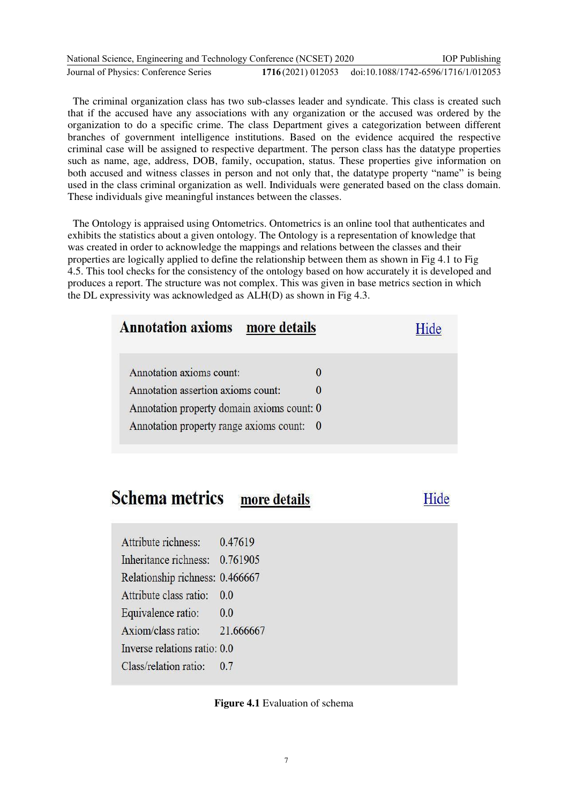| National Science, Engineering and Technology Conference (NCSET) 2020 |                                                       | <b>IOP</b> Publishing |
|----------------------------------------------------------------------|-------------------------------------------------------|-----------------------|
| Journal of Physics: Conference Series                                | 1716(2021) 012053 doi:10.1088/1742-6596/1716/1/012053 |                       |

The criminal organization class has two sub-classes leader and syndicate. This class is created such that if the accused have any associations with any organization or the accused was ordered by the organization to do a specific crime. The class Department gives a categorization between different branches of government intelligence institutions. Based on the evidence acquired the respective criminal case will be assigned to respective department. The person class has the datatype properties such as name, age, address, DOB, family, occupation, status. These properties give information on both accused and witness classes in person and not only that, the datatype property "name" is being used in the class criminal organization as well. Individuals were generated based on the class domain. These individuals give meaningful instances between the classes.

The Ontology is appraised using Ontometrics. Ontometrics is an online tool that authenticates and exhibits the statistics about a given ontology. The Ontology is a representation of knowledge that was created in order to acknowledge the mappings and relations between the classes and their properties are logically applied to define the relationship between them as shown in Fig 4.1 to Fig 4.5. This tool checks for the consistency of the ontology based on how accurately it is developed and produces a report. The structure was not complex. This was given in base metrics section in which the DL expressivity was acknowledged as ALH(D) as shown in Fig 4.3.

| <b>Annotation axioms</b> more details      |  |
|--------------------------------------------|--|
| Annotation axioms count:                   |  |
| Annotation assertion axioms count:         |  |
| Annotation property domain axioms count: 0 |  |
| Annotation property range axioms count: 0  |  |

#### **Schema metrics** more details

## Hide

| Attribute richness:             | 0.47619   |
|---------------------------------|-----------|
| Inheritance richness: 0.761905  |           |
| Relationship richness: 0.466667 |           |
| Attribute class ratio:          | 0.0       |
| Equivalence ratio:              | 0.0       |
| Axiom/class ratio:              | 21.666667 |
| Inverse relations ratio: 0.0    |           |
| Class/relation ratio:           | 0.7       |

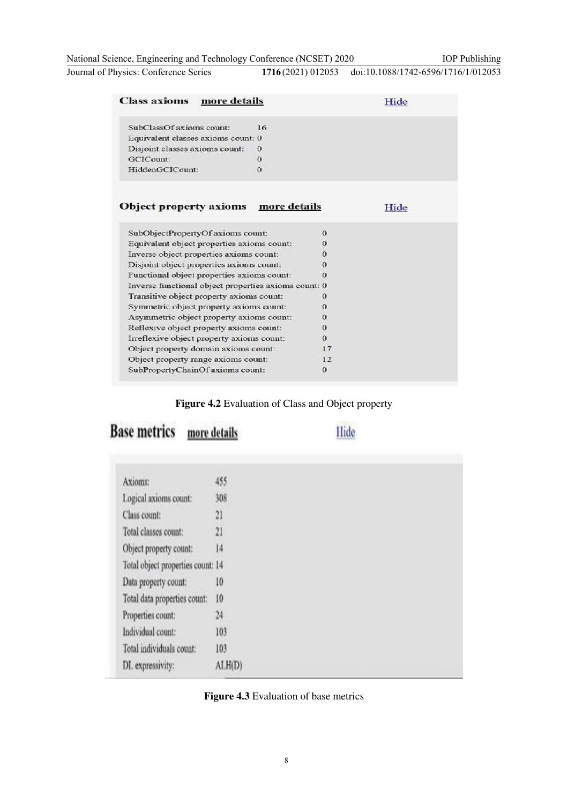National Science, Engineering and Technology Conference (NCSET) 2020

Journal of Physics: Conference Series **1716** (2021) 012053 doi:10.1088/1742-6596/1716/1/012053

| <b>Class axioms</b><br>more details                  |              |          | Hide |
|------------------------------------------------------|--------------|----------|------|
| SubClassOf axioms count:                             | 16           |          |      |
| Equivalent classes axioms count: 0                   |              |          |      |
| Disjoint classes axioms count:                       | $\Omega$     |          |      |
| GCICount:                                            | $\theta$     |          |      |
| HiddenGCICount:                                      | $\Omega$     |          |      |
|                                                      |              |          |      |
| <b>Object property axioms</b>                        | more details |          | Hide |
| SubObjectPropertyOf axioms count:                    |              | $\Omega$ |      |
| Equivalent object properties axioms count:           |              | 0        |      |
| Inverse object properties axioms count:              |              | 0        |      |
| Disjoint object properties axioms count:             |              | 0        |      |
| Functional object properties axioms count:           |              | 0        |      |
| Inverse functional object properties axioms count: 0 |              |          |      |
| Transitive object property axioms count:             |              | $\Omega$ |      |
| Symmetric object property axioms count:              |              | $\Omega$ |      |
| Asymmetric object property axioms count:             |              | 0        |      |
| Reflexive object property axioms count:              |              | 0        |      |
| Irreflexive object property axioms count:            |              | $\Omega$ |      |
| Object property domain axioms count:                 |              | 17       |      |
| Object property range axioms count:                  |              | 12       |      |
| SubPropertyChainOf axioms count:                     |              | $\bf{0}$ |      |

**Figure 4.2** Evaluation of Class and Object property

**Base metrics** more details

Hide

| Axioms:                           | 455    |
|-----------------------------------|--------|
| Logical axioms count:             | 308    |
| Class count:                      | 21     |
| Total classes count:              | 21     |
| Object property count:            | 14     |
| Total object properties count: 14 |        |
| Data property count:              | 10     |
| Total data properties count:      | 10     |
| Properties count:                 | 24     |
| Individual count:                 | 103    |
| Total individuals count:          | 103    |
| DL expressivity:                  | ALH(D) |
|                                   |        |



IOP Publishing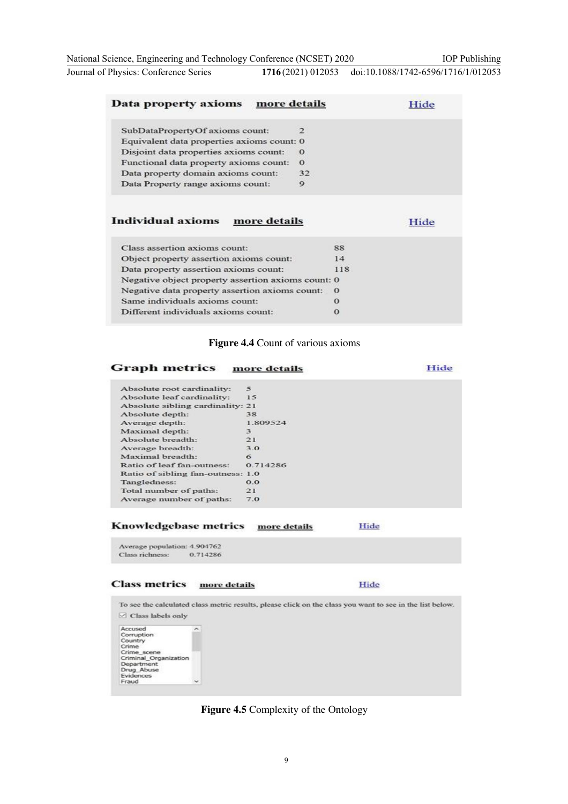| National Science, Engineering and Technology Conference (NCSET) 2020 | <b>IOP</b> Publishing                                 |
|----------------------------------------------------------------------|-------------------------------------------------------|
| Journal of Physics: Conference Series                                | 1716(2021) 012053 doi:10.1088/1742-6596/1716/1/012053 |

| Data property axioms more details                  |              |          | Hide |
|----------------------------------------------------|--------------|----------|------|
| SubDataPropertyOf axioms count:                    | $\mathbf{z}$ |          |      |
| Equivalent data properties axioms count: 0         |              |          |      |
| Disjoint data properties axioms count:             | $\Omega$     |          |      |
| Functional data property axioms count:             | $\Omega$     |          |      |
| Data property domain axioms count:                 | 32           |          |      |
| Data Property range axioms count:                  | 9            |          |      |
|                                                    |              |          |      |
| Individual axioms<br>more details                  |              |          | Hide |
| Class assertion axioms count:                      |              | 88       |      |
| Object property assertion axioms count:            |              | 14       |      |
| Data property assertion axioms count:              |              | 118      |      |
| Negative object property assertion axioms count: 0 |              |          |      |
| Negative data property assertion axioms count:     |              | $\Omega$ |      |
| Same individuals axioms count:                     |              | $\Omega$ |      |

### **Figure 4.4** Count of various axioms

## **Graph metrics** more details Hide

| Absolute root cardinality:        |          |
|-----------------------------------|----------|
| Absolute leaf cardinality:        | 15       |
| Absolute sibling cardinality: 21  |          |
| Absolute depth:                   | 38       |
| Average depth:                    | 1.809524 |
| Maximal depth:                    | 3        |
| Absolute breadth:                 | 21       |
| Average breadth:                  | 3.0      |
| Maximal breadth:                  | 6        |
| Ratio of leaf fan-outness:        | 0.714286 |
| Ratio of sibling fan-outness: 1.0 |          |
| Tangledness:                      | 0.0      |
| Total number of paths:            | 21       |
| Average number of paths:          | 7.0      |
|                                   |          |

#### Knowledgebase metrics more details Hide

Average population: 4.904762 Class richness: 0.714286

#### **Class metrics** more details

Hide

To see the calculated class metric results, please click on the class you want to see in the list below.  $\boxed{\smash{\odot}}$  Class labels only Accused<br>Corruption<br>Crime<br>Crime<br>Criminal\_Organization<br>Department<br>Evidences<br>Fraud  $\overline{\phantom{a}}$ 

**Figure 4.5** Complexity of the Ontology